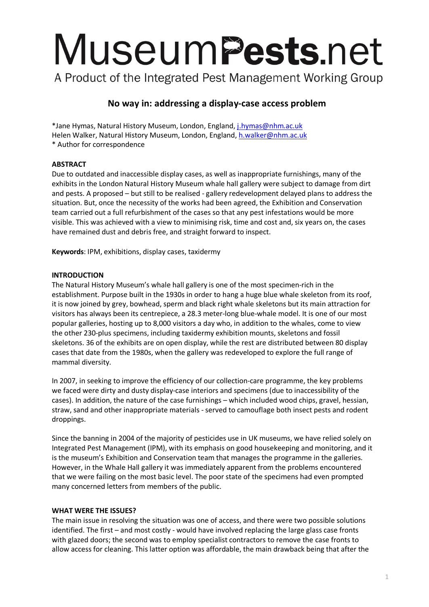# MuseumPests.net

A Product of the Integrated Pest Management Working Group

# **No way in: addressing a display-case access problem**

\*Jane Hymas, Natural History Museum, London, England[, j.hymas@nhm.ac.uk](mailto:j.hymas@nhm.ac.uk) Helen Walker, Natural History Museum, London, England[, h.walker@nhm.ac.uk](mailto:h.walker@nhm.ac.uk) \* Author for correspondence

# **ABSTRACT**

Due to outdated and inaccessible display cases, as well as inappropriate furnishings, many of the exhibits in the London Natural History Museum whale hall gallery were subject to damage from dirt and pests. A proposed – but still to be realised - gallery redevelopment delayed plans to address the situation. But, once the necessity of the works had been agreed, the Exhibition and Conservation team carried out a full refurbishment of the cases so that any pest infestations would be more visible. This was achieved with a view to minimising risk, time and cost and, six years on, the cases have remained dust and debris free, and straight forward to inspect.

**Keywords**: IPM, exhibitions, display cases, taxidermy

# **INTRODUCTION**

The Natural History Museum's whale hall gallery is one of the most specimen-rich in the establishment. Purpose built in the 1930s in order to hang a huge blue whale skeleton from its roof, it is now joined by grey, bowhead, sperm and black right whale skeletons but its main attraction for visitors has always been its centrepiece, a 28.3 meter-long blue-whale model. It is one of our most popular galleries, hosting up to 8,000 visitors a day who, in addition to the whales, come to view the other 230-plus specimens, including taxidermy exhibition mounts, skeletons and fossil skeletons. 36 of the exhibits are on open display, while the rest are distributed between 80 display cases that date from the 1980s, when the gallery was redeveloped to explore the full range of mammal diversity.

In 2007, in seeking to improve the efficiency of our collection-care programme, the key problems we faced were dirty and dusty display-case interiors and specimens (due to inaccessibility of the cases). In addition, the nature of the case furnishings – which included wood chips, gravel, hessian, straw, sand and other inappropriate materials - served to camouflage both insect pests and rodent droppings.

Since the banning in 2004 of the majority of pesticides use in UK museums, we have relied solely on Integrated Pest Management (IPM), with its emphasis on good housekeeping and monitoring, and it is the museum's Exhibition and Conservation team that manages the programme in the galleries. However, in the Whale Hall gallery it was immediately apparent from the problems encountered that we were failing on the most basic level. The poor state of the specimens had even prompted many concerned letters from members of the public.

# **WHAT WERE THE ISSUES?**

The main issue in resolving the situation was one of access, and there were two possible solutions identified. The first – and most costly - would have involved replacing the large glass case fronts with glazed doors; the second was to employ specialist contractors to remove the case fronts to allow access for cleaning. This latter option was affordable, the main drawback being that after the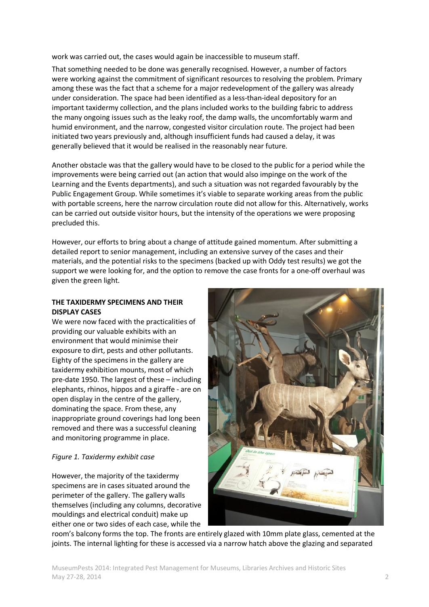work was carried out, the cases would again be inaccessible to museum staff.

That something needed to be done was generally recognised. However, a number of factors were working against the commitment of significant resources to resolving the problem. Primary among these was the fact that a scheme for a major redevelopment of the gallery was already under consideration. The space had been identified as a less-than-ideal depository for an important taxidermy collection, and the plans included works to the building fabric to address the many ongoing issues such as the leaky roof, the damp walls, the uncomfortably warm and humid environment, and the narrow, congested visitor circulation route. The project had been initiated two years previously and, although insufficient funds had caused a delay, it was generally believed that it would be realised in the reasonably near future.

Another obstacle was that the gallery would have to be closed to the public for a period while the improvements were being carried out (an action that would also impinge on the work of the Learning and the Events departments), and such a situation was not regarded favourably by the Public Engagement Group. While sometimes it's viable to separate working areas from the public with portable screens, here the narrow circulation route did not allow for this. Alternatively, works can be carried out outside visitor hours, but the intensity of the operations we were proposing precluded this.

However, our efforts to bring about a change of attitude gained momentum. After submitting a detailed report to senior management, including an extensive survey of the cases and their materials, and the potential risks to the specimens (backed up with Oddy test results) we got the support we were looking for, and the option to remove the case fronts for a one-off overhaul was given the green light.

# **THE TAXIDERMY SPECIMENS AND THEIR DISPLAY CASES**

We were now faced with the practicalities of providing our valuable exhibits with an environment that would minimise their exposure to dirt, pests and other pollutants. Eighty of the specimens in the gallery are taxidermy exhibition mounts, most of which pre-date 1950. The largest of these – including elephants, rhinos, hippos and a giraffe - are on open display in the centre of the gallery, dominating the space. From these, any inappropriate ground coverings had long been removed and there was a successful cleaning and monitoring programme in place.

# *Figure 1. Taxidermy exhibit case*

However, the majority of the taxidermy specimens are in cases situated around the perimeter of the gallery. The gallery walls themselves (including any columns, decorative mouldings and electrical conduit) make up either one or two sides of each case, while the



room's balcony forms the top. The fronts are entirely glazed with 10mm plate glass, cemented at the joints. The internal lighting for these is accessed via a narrow hatch above the glazing and separated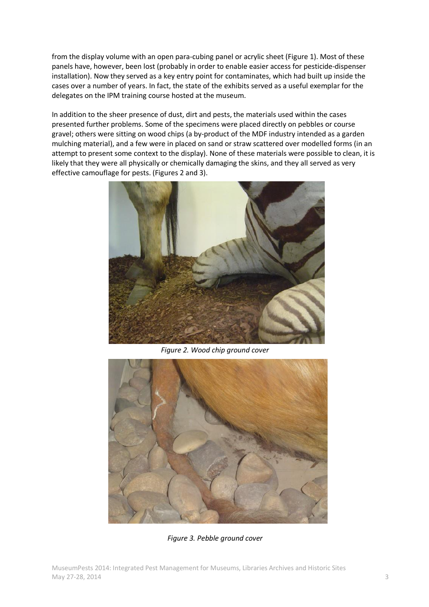from the display volume with an open para-cubing panel or acrylic sheet (Figure 1). Most of these panels have, however, been lost (probably in order to enable easier access for pesticide-dispenser installation). Now they served as a key entry point for contaminates, which had built up inside the cases over a number of years. In fact, the state of the exhibits served as a useful exemplar for the delegates on the IPM training course hosted at the museum.

In addition to the sheer presence of dust, dirt and pests, the materials used within the cases presented further problems. Some of the specimens were placed directly on pebbles or course gravel; others were sitting on wood chips (a by-product of the MDF industry intended as a garden mulching material), and a few were in placed on sand or straw scattered over modelled forms (in an attempt to present some context to the display). None of these materials were possible to clean, it is likely that they were all physically or chemically damaging the skins, and they all served as very effective camouflage for pests. (Figures 2 and 3).



*Figure 2. Wood chip ground cover*



*Figure 3. Pebble ground cover*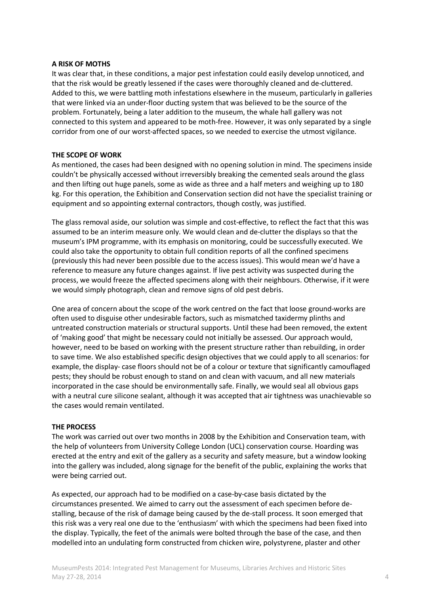### **A RISK OF MOTHS**

It was clear that, in these conditions, a major pest infestation could easily develop unnoticed, and that the risk would be greatly lessened if the cases were thoroughly cleaned and de-cluttered. Added to this, we were battling moth infestations elsewhere in the museum, particularly in galleries that were linked via an under-floor ducting system that was believed to be the source of the problem. Fortunately, being a later addition to the museum, the whale hall gallery was not connected to this system and appeared to be moth-free. However, it was only separated by a single corridor from one of our worst-affected spaces, so we needed to exercise the utmost vigilance.

### **THE SCOPE OF WORK**

As mentioned, the cases had been designed with no opening solution in mind. The specimens inside couldn't be physically accessed without irreversibly breaking the cemented seals around the glass and then lifting out huge panels, some as wide as three and a half meters and weighing up to 180 kg. For this operation, the Exhibition and Conservation section did not have the specialist training or equipment and so appointing external contractors, though costly, was justified.

The glass removal aside, our solution was simple and cost-effective, to reflect the fact that this was assumed to be an interim measure only. We would clean and de-clutter the displays so that the museum's IPM programme, with its emphasis on monitoring, could be successfully executed. We could also take the opportunity to obtain full condition reports of all the confined specimens (previously this had never been possible due to the access issues). This would mean we'd have a reference to measure any future changes against. If live pest activity was suspected during the process, we would freeze the affected specimens along with their neighbours. Otherwise, if it were we would simply photograph, clean and remove signs of old pest debris.

One area of concern about the scope of the work centred on the fact that loose ground-works are often used to disguise other undesirable factors, such as mismatched taxidermy plinths and untreated construction materials or structural supports. Until these had been removed, the extent of 'making good' that might be necessary could not initially be assessed. Our approach would, however, need to be based on working with the present structure rather than rebuilding, in order to save time. We also established specific design objectives that we could apply to all scenarios: for example, the display- case floors should not be of a colour or texture that significantly camouflaged pests; they should be robust enough to stand on and clean with vacuum, and all new materials incorporated in the case should be environmentally safe. Finally, we would seal all obvious gaps with a neutral cure silicone sealant, although it was accepted that air tightness was unachievable so the cases would remain ventilated.

### **THE PROCESS**

The work was carried out over two months in 2008 by the Exhibition and Conservation team, with the help of volunteers from University College London (UCL) conservation course. Hoarding was erected at the entry and exit of the gallery as a security and safety measure, but a window looking into the gallery was included, along signage for the benefit of the public, explaining the works that were being carried out.

As expected, our approach had to be modified on a case-by-case basis dictated by the circumstances presented. We aimed to carry out the assessment of each specimen before destalling, because of the risk of damage being caused by the de-stall process. It soon emerged that this risk was a very real one due to the 'enthusiasm' with which the specimens had been fixed into the display. Typically, the feet of the animals were bolted through the base of the case, and then modelled into an undulating form constructed from chicken wire, polystyrene, plaster and other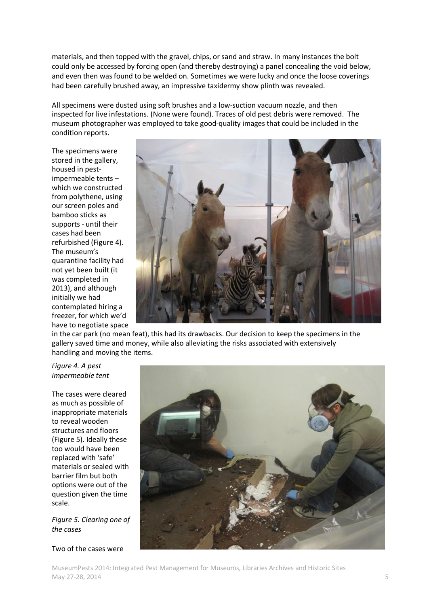materials, and then topped with the gravel, chips, or sand and straw. In many instances the bolt could only be accessed by forcing open (and thereby destroying) a panel concealing the void below, and even then was found to be welded on. Sometimes we were lucky and once the loose coverings had been carefully brushed away, an impressive taxidermy show plinth was revealed.

All specimens were dusted using soft brushes and a low-suction vacuum nozzle, and then inspected for live infestations. (None were found). Traces of old pest debris were removed. The museum photographer was employed to take good-quality images that could be included in the condition reports.

The specimens were stored in the gallery, housed in pestimpermeable tents – which we constructed from polythene, using our screen poles and bamboo sticks as supports - until their cases had been refurbished (Figure 4). The museum's quarantine facility had not yet been built (it was completed in 2013), and although initially we had contemplated hiring a freezer, for which we'd have to negotiate space



in the car park (no mean feat), this had its drawbacks. Our decision to keep the specimens in the gallery saved time and money, while also alleviating the risks associated with extensively handling and moving the items.

### *Figure 4. A pest impermeable tent*

The cases were cleared as much as possible of inappropriate materials to reveal wooden structures and floors (Figure 5). Ideally these too would have been replaced with 'safe' materials or sealed with barrier film but both options were out of the question given the time scale.

*Figure 5. Clearing one of the cases*

### Two of the cases were